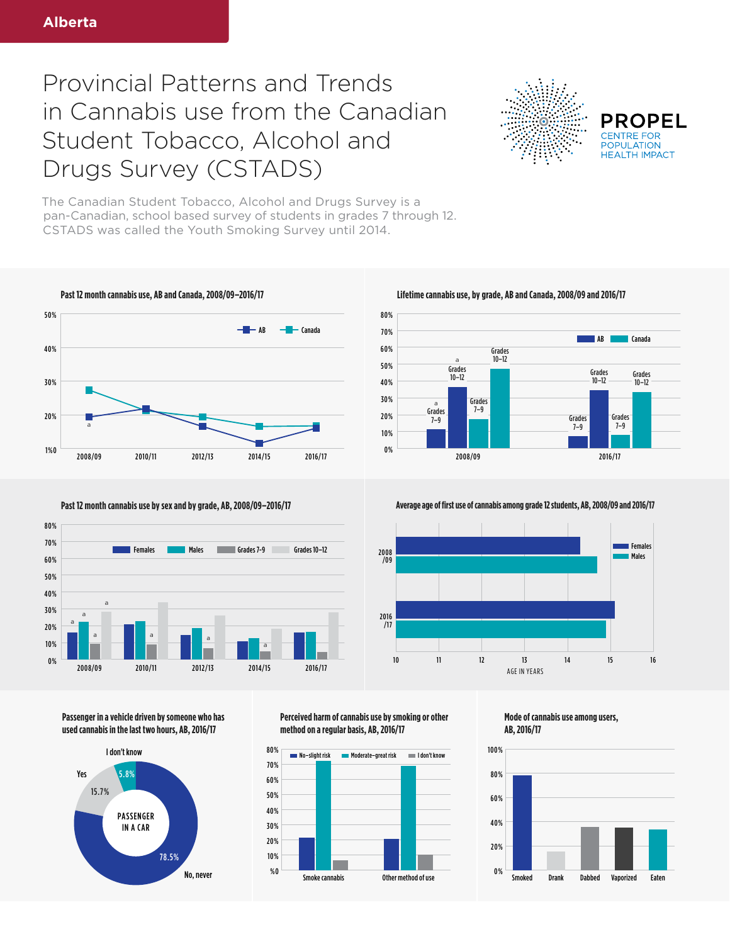## Provincial Patterns and Trends in Cannabis use from the Canadian Student Tobacco, Alcohol and Drugs Survey (CSTADS)



**PROPEL POPULATION HFAITH IMPACT** 

The Canadian Student Tobacco, Alcohol and Drugs Survey is a pan-Canadian, school based survey of students in grades 7 through 12. CSTADS was called the Youth Smoking Survey until 2014.







**Past 12 month cannabis use by sex and by grade, AB, 2008/09–2016/17 Average age of first use of cannabis among grade 12 students, AB, 2008/09 and 2016/17** 



**Passenger in a vehicle driven by someone who has used cannabis in the last two hours, AB, 2016/17**



**Perceived harm of cannabis use by smoking or other method on a regular basis, AB, 2016/17**



**Mode of cannabis use among users, AB, 2016/17**